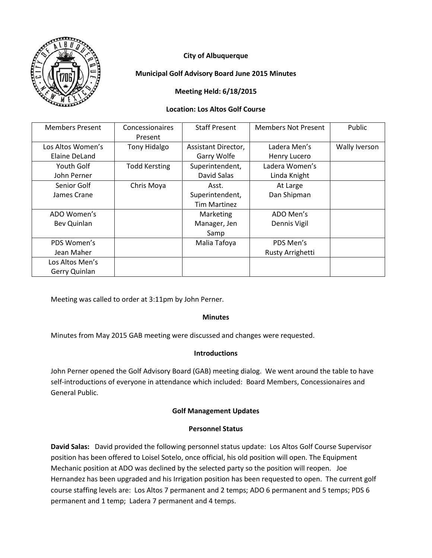

# **City of Albuquerque**

# **Municipal Golf Advisory Board June 2015 Minutes**

# **Meeting Held: 6/18/2015**

## **Location: Los Altos Golf Course**

| <b>Members Present</b> | Concessionaires      | <b>Staff Present</b> | <b>Members Not Present</b> | Public        |
|------------------------|----------------------|----------------------|----------------------------|---------------|
|                        | Present              |                      |                            |               |
| Los Altos Women's      | Tony Hidalgo         | Assistant Director,  | Ladera Men's               | Wally Iverson |
| Elaine DeLand          |                      | Garry Wolfe          | Henry Lucero               |               |
| Youth Golf             | <b>Todd Kersting</b> | Superintendent,      | Ladera Women's             |               |
| John Perner            |                      | David Salas          | Linda Knight               |               |
| Senior Golf            | Chris Moya           | Asst.                | At Large                   |               |
| James Crane            |                      | Superintendent,      | Dan Shipman                |               |
|                        |                      | <b>Tim Martinez</b>  |                            |               |
| ADO Women's            |                      | Marketing            | ADO Men's                  |               |
| Bev Quinlan            |                      | Manager, Jen         | Dennis Vigil               |               |
|                        |                      | Samp                 |                            |               |
| PDS Women's            |                      | Malia Tafoya         | PDS Men's                  |               |
| Jean Maher             |                      |                      | Rusty Arrighetti           |               |
| Los Altos Men's        |                      |                      |                            |               |
| Gerry Quinlan          |                      |                      |                            |               |

Meeting was called to order at 3:11pm by John Perner.

### **Minutes**

Minutes from May 2015 GAB meeting were discussed and changes were requested.

### **Introductions**

John Perner opened the Golf Advisory Board (GAB) meeting dialog. We went around the table to have self-introductions of everyone in attendance which included: Board Members, Concessionaires and General Public.

### **Golf Management Updates**

### **Personnel Status**

**David Salas:** David provided the following personnel status update: Los Altos Golf Course Supervisor position has been offered to Loisel Sotelo, once official, his old position will open. The Equipment Mechanic position at ADO was declined by the selected party so the position will reopen. Joe Hernandez has been upgraded and his Irrigation position has been requested to open. The current golf course staffing levels are: Los Altos 7 permanent and 2 temps; ADO 6 permanent and 5 temps; PDS 6 permanent and 1 temp; Ladera 7 permanent and 4 temps.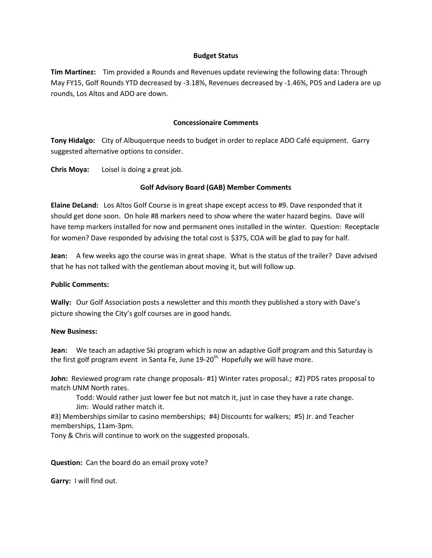#### **Budget Status**

**Tim Martinez:** Tim provided a Rounds and Revenues update reviewing the following data: Through May FY15, Golf Rounds YTD decreased by -3.18%, Revenues decreased by -1.46%, PDS and Ladera are up rounds, Los Altos and ADO are down.

## **Concessionaire Comments**

**Tony Hidalgo:** City of Albuquerque needs to budget in order to replace ADO Café equipment. Garry suggested alternative options to consider.

**Chris Moya:** Loisel is doing a great job.

# **Golf Advisory Board (GAB) Member Comments**

**Elaine DeLand:** Los Altos Golf Course is in great shape except access to #9. Dave responded that it should get done soon. On hole #8 markers need to show where the water hazard begins. Dave will have temp markers installed for now and permanent ones installed in the winter. Question: Receptacle for women? Dave responded by advising the total cost is \$375, COA will be glad to pay for half.

**Jean:** A few weeks ago the course was in great shape. What is the status of the trailer? Dave advised that he has not talked with the gentleman about moving it, but will follow up.

### **Public Comments:**

**Wally:** Our Golf Association posts a newsletter and this month they published a story with Dave's picture showing the City's golf courses are in good hands.

### **New Business:**

**Jean:** We teach an adaptive Ski program which is now an adaptive Golf program and this Saturday is the first golf program event in Santa Fe, June  $19-20^{th}$ . Hopefully we will have more.

**John:** Reviewed program rate change proposals- #1) Winter rates proposal.; #2) PDS rates proposal to match UNM North rates.

Todd: Would rather just lower fee but not match it, just in case they have a rate change. Jim: Would rather match it.

#3) Memberships similar to casino memberships; #4) Discounts for walkers; #5) Jr. and Teacher memberships, 11am-3pm.

Tony & Chris will continue to work on the suggested proposals.

**Question:** Can the board do an email proxy vote?

**Garry:** I will find out.